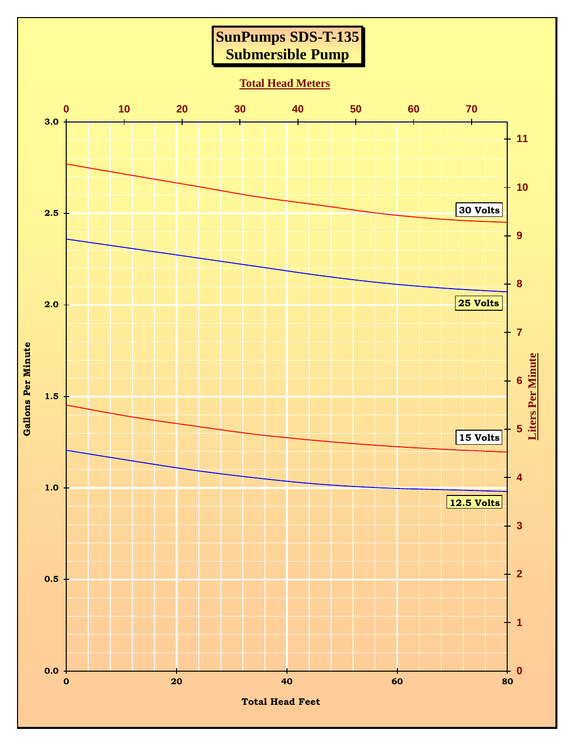